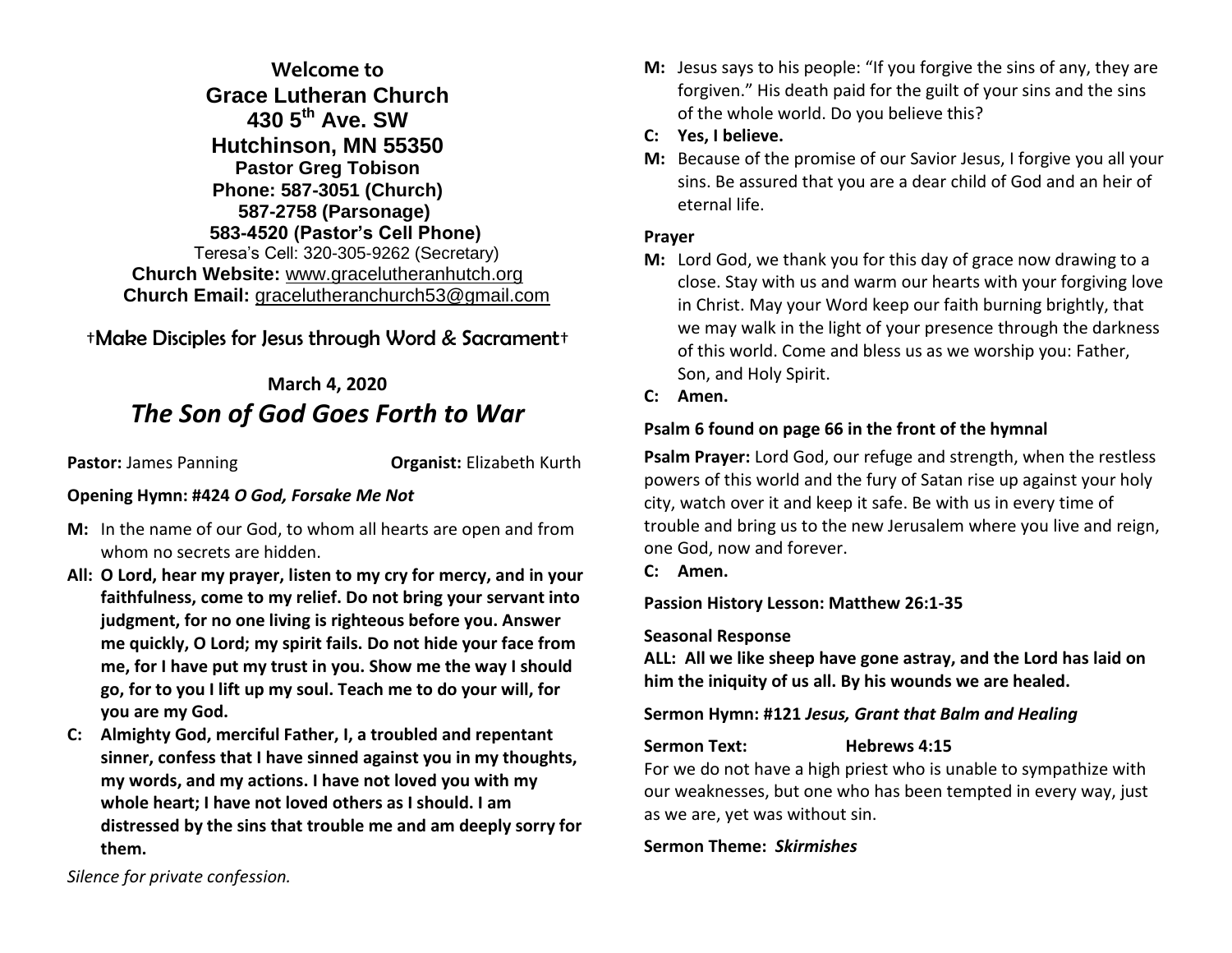## **Welcome to Grace Lutheran Church 430 5th Ave. SW Hutchinson, MN 55350 Pastor Greg Tobison Phone: 587-3051 (Church) 587-2758 (Parsonage) 583-4520 (Pastor's Cell Phone)** Teresa's Cell: 320-305-9262 (Secretary) **Church Website:** [www.gracelutheranhutch.org](http://www.gracelutheranhutch.org/) **Church Email:** [gracelutheranchurch53@gmail.com](mailto:gracelutheranchurch53@gmail.com)

## †Make Disciples for Jesus through Word & Sacrament†

# **March 4, 2020** *The Son of God Goes Forth to War*

**Pastor:** James Panning **Organist:** Elizabeth Kurth

#### **Opening Hymn: #424** *O God, Forsake Me Not*

- **M:** In the name of our God, to whom all hearts are open and from whom no secrets are hidden.
- **All: O Lord, hear my prayer, listen to my cry for mercy, and in your faithfulness, come to my relief. Do not bring your servant into judgment, for no one living is righteous before you. Answer me quickly, O Lord; my spirit fails. Do not hide your face from me, for I have put my trust in you. Show me the way I should go, for to you I lift up my soul. Teach me to do your will, for you are my God.**
- **C: Almighty God, merciful Father, I, a troubled and repentant sinner, confess that I have sinned against you in my thoughts, my words, and my actions. I have not loved you with my whole heart; I have not loved others as I should. I am distressed by the sins that trouble me and am deeply sorry for them.**
- **M:** Jesus says to his people: "If you forgive the sins of any, they are forgiven." His death paid for the guilt of your sins and the sins of the whole world. Do you believe this?
- **C: Yes, I believe.**
- **M:** Because of the promise of our Savior Jesus, I forgive you all your sins. Be assured that you are a dear child of God and an heir of eternal life.

### **Prayer**

- **M:** Lord God, we thank you for this day of grace now drawing to a close. Stay with us and warm our hearts with your forgiving love in Christ. May your Word keep our faith burning brightly, that we may walk in the light of your presence through the darkness of this world. Come and bless us as we worship you: Father, Son, and Holy Spirit.
- **C: Amen.**

## **Psalm 6 found on page 66 in the front of the hymnal**

**Psalm Prayer:** Lord God, our refuge and strength, when the restless powers of this world and the fury of Satan rise up against your holy city, watch over it and keep it safe. Be with us in every time of trouble and bring us to the new Jerusalem where you live and reign, one God, now and forever.

**C: Amen.**

**Passion History Lesson: Matthew 26:1-35**

#### **Seasonal Response**

**ALL: All we like sheep have gone astray, and the Lord has laid on him the iniquity of us all. By his wounds we are healed.**

#### **Sermon Hymn: #121** *Jesus, Grant that Balm and Healing*

## **Sermon Text: Hebrews 4:15**

For we do not have a high priest who is unable to sympathize with our weaknesses, but one who has been tempted in every way, just as we are, yet was without sin.

## **Sermon Theme:** *Skirmishes*

*Silence for private confession.*